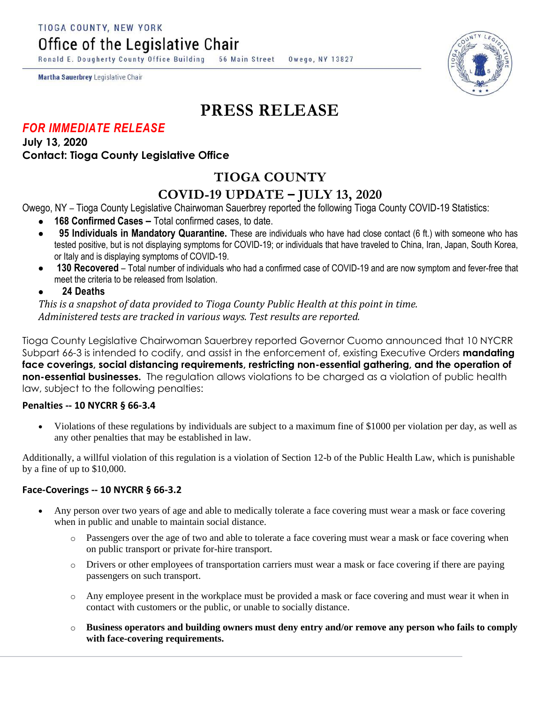TIOGA COUNTY, NEW YORK

Office of the Legislative Chair

Ronald E. Dougherty County Office Building **56 Main Street** Owego, NY 13827

Martha Sauerbrey Legislative Chair

# **PRESS RELEASE**

### *FOR IMMEDIATE RELEASE*

**July 13, 2020 Contact: Tioga County Legislative Office**

# **TIOGA COUNTY**

## **COVID-19 UPDATE – JULY 13, 2020**

Owego, NY – Tioga County Legislative Chairwoman Sauerbrey reported the following Tioga County COVID-19 Statistics:

- **168 Confirmed Cases –** Total confirmed cases, to date.
- **95 Individuals in Mandatory Quarantine.** These are individuals who have had close contact (6 ft.) with someone who has tested positive, but is not displaying symptoms for COVID-19; or individuals that have traveled to China, Iran, Japan, South Korea, or Italy and is displaying symptoms of COVID-19.
- **130 Recovered**  Total number of individuals who had a confirmed case of COVID-19 and are now symptom and fever-free that meet the criteria to be released from Isolation.

#### **24 Deaths**

*This is a snapshot of data provided to Tioga County Public Health at this point in time. Administered tests are tracked in various ways. Test results are reported.*

Tioga County Legislative Chairwoman Sauerbrey reported Governor Cuomo announced that 10 NYCRR Subpart 66-3 is intended to codify, and assist in the enforcement of, existing Executive Orders **mandating face coverings, social distancing requirements, restricting non-essential gathering, and the operation of non-essential businesses.** The regulation allows violations to be charged as a violation of public health law, subject to the following penalties:

#### **Penalties -- 10 NYCRR § 66-3.4**

 Violations of these regulations by individuals are subject to a maximum fine of \$1000 per violation per day, as well as any other penalties that may be established in law.

Additionally, a willful violation of this regulation is a violation of Section 12-b of the Public Health Law, which is punishable by a fine of up to \$10,000.

#### **Face-Coverings -- 10 NYCRR § 66-3.2**

- Any person over two years of age and able to medically tolerate a face covering must wear a mask or face covering when in public and unable to maintain social distance.
	- o Passengers over the age of two and able to tolerate a face covering must wear a mask or face covering when on public transport or private for-hire transport.
	- o Drivers or other employees of transportation carriers must wear a mask or face covering if there are paying passengers on such transport.
	- o Any employee present in the workplace must be provided a mask or face covering and must wear it when in contact with customers or the public, or unable to socially distance.
	- o **Business operators and building owners must deny entry and/or remove any person who fails to comply with face-covering requirements.**